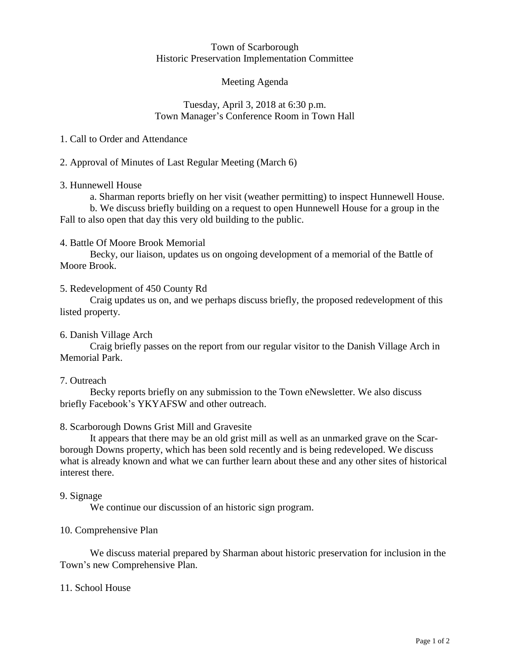#### Town of Scarborough Historic Preservation Implementation Committee

# Meeting Agenda

## Tuesday, April 3, 2018 at 6:30 p.m. Town Manager's Conference Room in Town Hall

1. Call to Order and Attendance

2. Approval of Minutes of Last Regular Meeting (March 6)

## 3. Hunnewell House

a. Sharman reports briefly on her visit (weather permitting) to inspect Hunnewell House.

b. We discuss briefly building on a request to open Hunnewell House for a group in the Fall to also open that day this very old building to the public.

## 4. Battle Of Moore Brook Memorial

Becky, our liaison, updates us on ongoing development of a memorial of the Battle of Moore Brook.

## 5. Redevelopment of 450 County Rd

Craig updates us on, and we perhaps discuss briefly, the proposed redevelopment of this listed property.

# 6. Danish Village Arch

Craig briefly passes on the report from our regular visitor to the Danish Village Arch in Memorial Park.

#### 7. Outreach

Becky reports briefly on any submission to the Town eNewsletter. We also discuss briefly Facebook's YKYAFSW and other outreach.

# 8. Scarborough Downs Grist Mill and Gravesite

It appears that there may be an old grist mill as well as an unmarked grave on the Scarborough Downs property, which has been sold recently and is being redeveloped. We discuss what is already known and what we can further learn about these and any other sites of historical interest there.

#### 9. Signage

We continue our discussion of an historic sign program.

# 10. Comprehensive Plan

We discuss material prepared by Sharman about historic preservation for inclusion in the Town's new Comprehensive Plan.

#### 11. School House